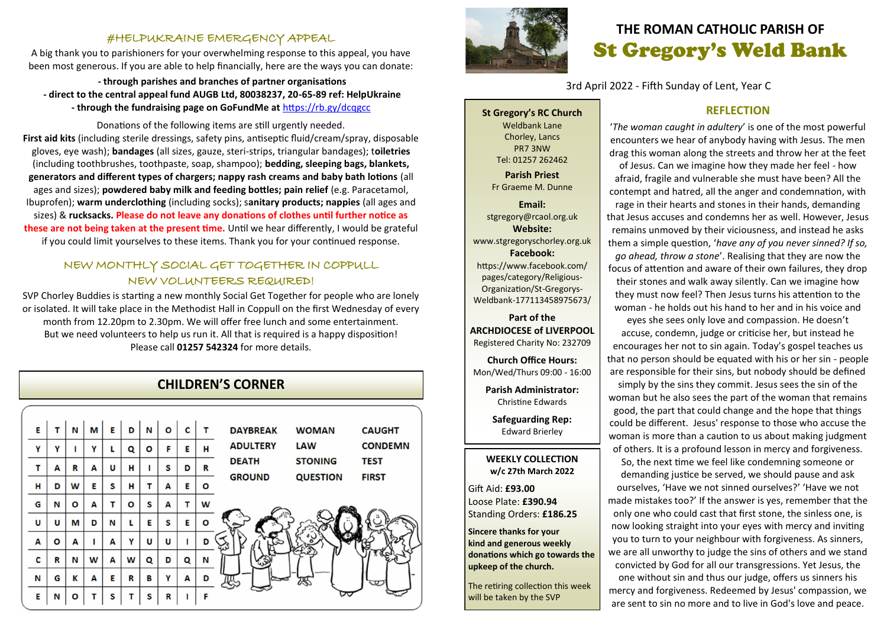### #HELPUKRAINE EMERGENCY APPEAL

A big thank you to parishioners for your overwhelming response to this appeal, you have been most generous. If you are able to help financially, here are the ways you can donate:

**- through parishes and branches of partner organisations - direct to the central appeal fund AUGB Ltd, 80038237, 20-65-89 ref: HelpUkraine - through the fundraising page on GoFundMe at** <https://rb.gy/dcqgcc>

Donations of the following items are still urgently needed. **First aid kits** (including sterile dressings, safety pins, antiseptic fluid/cream/spray, disposable gloves, eye wash); **bandages** (all sizes, gauze, steri-strips, triangular bandages); t**oiletries**  (including toothbrushes, toothpaste, soap, shampoo); **bedding, sleeping bags, blankets, generators and different types of chargers; nappy rash creams and baby bath lotions** (all ages and sizes); **powdered baby milk and feeding bottles; pain relief** (e.g. Paracetamol, Ibuprofen); **warm underclothing** (including socks); s**anitary products; nappies** (all ages and sizes) & **rucksacks. Please do not leave any donations of clothes until further notice as these are not being taken at the present time.** Until we hear differently, I would be grateful if you could limit yourselves to these items. Thank you for your continued response.

# NEW MONTHLY SOCIAL GET TOGETHER IN COPPULL NEW VOLUNTEERS REQUIRED!

SVP Chorley Buddies is starting a new monthly Social Get Together for people who are lonely or isolated. It will take place in the Methodist Hall in Coppull on the first Wednesday of every month from 12.20pm to 2.30pm. We will offer free lunch and some entertainment. But we need volunteers to help us run it. All that is required is a happy disposition! Please call **01257 542324** for more details.

# **CHILDREN'S CORNER**





# **THE ROMAN CATHOLIC PARISH OF** St Gregory's Weld Bank

3rd April 2022 - Fifth Sunday of Lent, Year C

**St Gregory's RC Church** Weldbank Lane Chorley, Lancs PR7 3NW Tel: 01257 262462 **Parish Priest** Fr Graeme M. Dunne

**Email:** stgregory@rcaol.org.uk **Website:** www.stgregoryschorley.org.uk **Facebook:** https://www.facebook.com/ pages/category/Religious-Organization/St-Gregorys-Weldbank-177113458975673/

#### **Part of the ARCHDIOCESE of LIVERPOOL**  Registered Charity No: 232709

**Church Office Hours:** Mon/Wed/Thurs 09:00 - 16:00

**Parish Administrator:** Christine Edwards

**Safeguarding Rep:** Edward Brierley

#### **WEEKLY COLLECTION w/c 27th March 2022**

Gift Aid: **£93.00** Loose Plate: **£390.94** Standing Orders: **£186.25**

**Sincere thanks for your kind and generous weekly donations which go towards the upkeep of the church.** 

The retiring collection this week will be taken by the SVP

### **REFLECTION**

'*The woman caught in adultery*' is one of the most powerful encounters we hear of anybody having with Jesus. The men drag this woman along the streets and throw her at the feet of Jesus. Can we imagine how they made her feel - how afraid, fragile and vulnerable she must have been? All the contempt and hatred, all the anger and condemnation, with rage in their hearts and stones in their hands, demanding that Jesus accuses and condemns her as well. However, Jesus remains unmoved by their viciousness, and instead he asks them a simple question, '*have any of you never sinned? If so, go ahead, throw a stone*'. Realising that they are now the focus of attention and aware of their own failures, they drop their stones and walk away silently. Can we imagine how they must now feel? Then Jesus turns his attention to the woman - he holds out his hand to her and in his voice and eyes she sees only love and compassion. He doesn't accuse, condemn, judge or criticise her, but instead he encourages her not to sin again. Today's gospel teaches us that no person should be equated with his or her sin - people are responsible for their sins, but nobody should be defined simply by the sins they commit. Jesus sees the sin of the woman but he also sees the part of the woman that remains good, the part that could change and the hope that things could be different. Jesus' response to those who accuse the woman is more than a caution to us about making judgment of others. It is a profound lesson in mercy and forgiveness. So, the next time we feel like condemning someone or demanding justice be served, we should pause and ask ourselves, 'Have we not sinned ourselves?' 'Have we not made mistakes too?' If the answer is yes, remember that the only one who could cast that first stone, the sinless one, is

now looking straight into your eyes with mercy and inviting you to turn to your neighbour with forgiveness. As sinners, we are all unworthy to judge the sins of others and we stand convicted by God for all our transgressions. Yet Jesus, the one without sin and thus our judge, offers us sinners his mercy and forgiveness. Redeemed by Jesus' compassion, we are sent to sin no more and to live in God's love and peace.